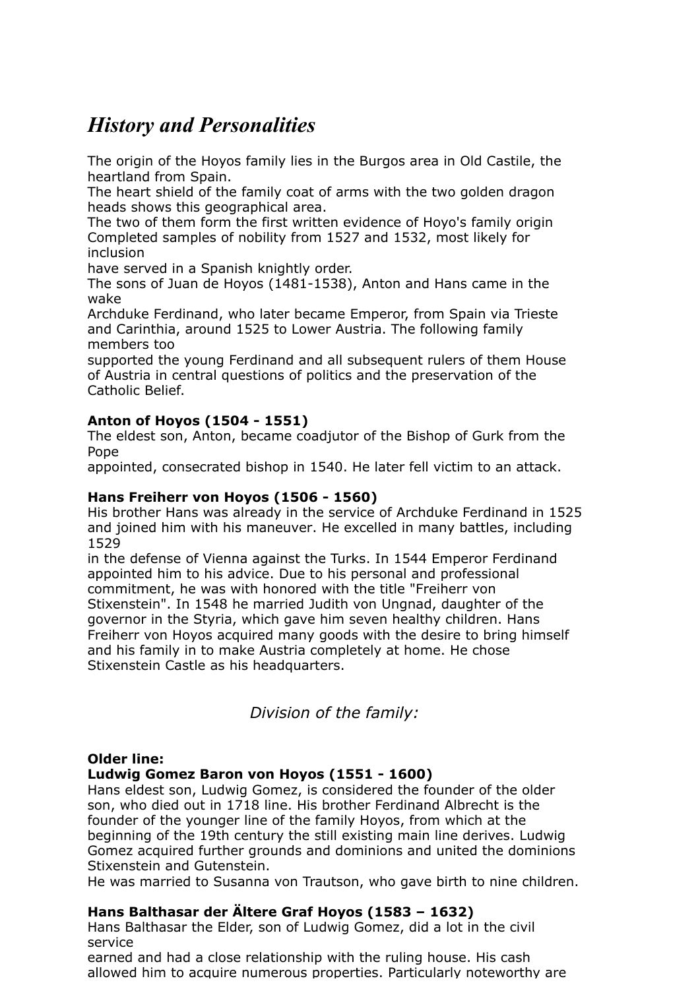# *History and Personalities*

The origin of the Hoyos family lies in the Burgos area in Old Castile, the heartland from Spain.

The heart shield of the family coat of arms with the two golden dragon heads shows this geographical area.

The two of them form the first written evidence of Hoyo's family origin Completed samples of nobility from 1527 and 1532, most likely for inclusion

have served in a Spanish knightly order.

The sons of Juan de Hoyos (1481-1538), Anton and Hans came in the wake

Archduke Ferdinand, who later became Emperor, from Spain via Trieste and Carinthia, around 1525 to Lower Austria. The following family members too

supported the young Ferdinand and all subsequent rulers of them House of Austria in central questions of politics and the preservation of the Catholic Belief.

# **Anton of Hoyos (1504 - 1551)**

The eldest son, Anton, became coadjutor of the Bishop of Gurk from the Pope

appointed, consecrated bishop in 1540. He later fell victim to an attack.

# **Hans Freiherr von Hoyos (1506 - 1560)**

His brother Hans was already in the service of Archduke Ferdinand in 1525 and joined him with his maneuver. He excelled in many battles, including 1529

in the defense of Vienna against the Turks. In 1544 Emperor Ferdinand appointed him to his advice. Due to his personal and professional commitment, he was with honored with the title "Freiherr von Stixenstein". In 1548 he married Judith von Ungnad, daughter of the governor in the Styria, which gave him seven healthy children. Hans Freiherr von Hoyos acquired many goods with the desire to bring himself and his family in to make Austria completely at home. He chose Stixenstein Castle as his headquarters.

*Division of the family:*

## **Older line:**

## **Ludwig Gomez Baron von Hoyos (1551 - 1600)**

Hans eldest son, Ludwig Gomez, is considered the founder of the older son, who died out in 1718 line. His brother Ferdinand Albrecht is the founder of the younger line of the family Hoyos, from which at the beginning of the 19th century the still existing main line derives. Ludwig Gomez acquired further grounds and dominions and united the dominions Stixenstein and Gutenstein.

He was married to Susanna von Trautson, who gave birth to nine children.

## **Hans Balthasar der Ältere Graf Hoyos (1583 – 1632)**

Hans Balthasar the Elder, son of Ludwig Gomez, did a lot in the civil service

earned and had a close relationship with the ruling house. His cash allowed him to acquire numerous properties. Particularly noteworthy are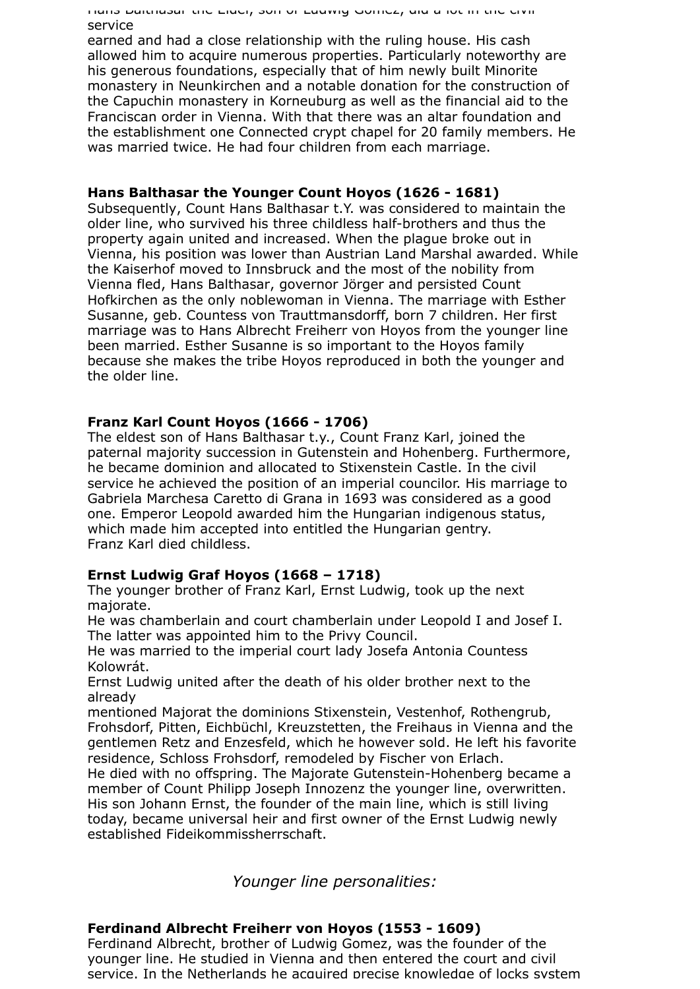Hans Balthasar the Elder, son of Ludwig Gomez, did a lot in the civil service

earned and had a close relationship with the ruling house. His cash allowed him to acquire numerous properties. Particularly noteworthy are his generous foundations, especially that of him newly built Minorite monastery in Neunkirchen and a notable donation for the construction of the Capuchin monastery in Korneuburg as well as the financial aid to the Franciscan order in Vienna. With that there was an altar foundation and the establishment one Connected crypt chapel for 20 family members. He was married twice. He had four children from each marriage.

### **Hans Balthasar the Younger Count Hoyos (1626 - 1681)**

Subsequently, Count Hans Balthasar t.Y. was considered to maintain the older line, who survived his three childless half-brothers and thus the property again united and increased. When the plague broke out in Vienna, his position was lower than Austrian Land Marshal awarded. While the Kaiserhof moved to Innsbruck and the most of the nobility from Vienna fled, Hans Balthasar, governor Jörger and persisted Count Hofkirchen as the only noblewoman in Vienna. The marriage with Esther Susanne, geb. Countess von Trauttmansdorff, born 7 children. Her first marriage was to Hans Albrecht Freiherr von Hoyos from the younger line been married. Esther Susanne is so important to the Hoyos family because she makes the tribe Hoyos reproduced in both the younger and the older line.

## **Franz Karl Count Hoyos (1666 - 1706)**

The eldest son of Hans Balthasar t.y., Count Franz Karl, joined the paternal majority succession in Gutenstein and Hohenberg. Furthermore, he became dominion and allocated to Stixenstein Castle. In the civil service he achieved the position of an imperial councilor. His marriage to Gabriela Marchesa Caretto di Grana in 1693 was considered as a good one. Emperor Leopold awarded him the Hungarian indigenous status, which made him accepted into entitled the Hungarian gentry. Franz Karl died childless.

## **Ernst Ludwig Graf Hoyos (1668 – 1718)**

The younger brother of Franz Karl, Ernst Ludwig, took up the next majorate.

He was chamberlain and court chamberlain under Leopold I and Josef I. The latter was appointed him to the Privy Council.

He was married to the imperial court lady Josefa Antonia Countess Kolowrát.

Ernst Ludwig united after the death of his older brother next to the already

mentioned Majorat the dominions Stixenstein, Vestenhof, Rothengrub, Frohsdorf, Pitten, Eichbüchl, Kreuzstetten, the Freihaus in Vienna and the gentlemen Retz and Enzesfeld, which he however sold. He left his favorite residence, Schloss Frohsdorf, remodeled by Fischer von Erlach.

He died with no offspring. The Majorate Gutenstein-Hohenberg became a member of Count Philipp Joseph Innozenz the younger line, overwritten. His son Johann Ernst, the founder of the main line, which is still living today, became universal heir and first owner of the Ernst Ludwig newly established Fideikommissherrschaft.

*Younger line personalities:*

### **Ferdinand Albrecht Freiherr von Hoyos (1553 - 1609)**

Ferdinand Albrecht, brother of Ludwig Gomez, was the founder of the younger line. He studied in Vienna and then entered the court and civil service. In the Netherlands he acquired precise knowledge of locks system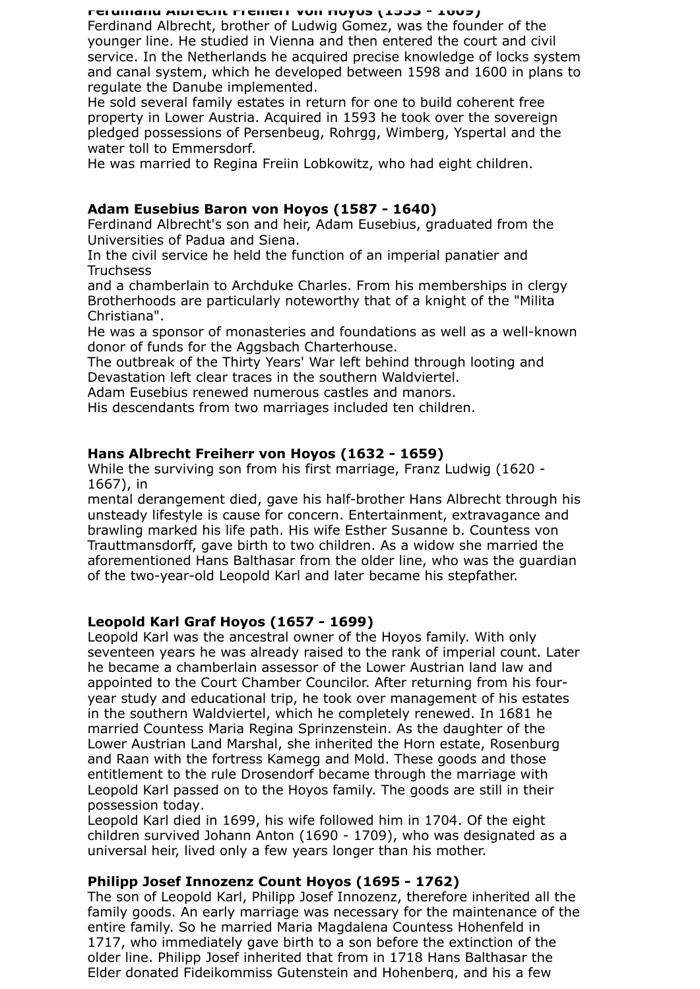#### **Ferdinand Albrecht Freiherr von Hoyos (1553 - 1609)**

Ferdinand Albrecht, brother of Ludwig Gomez, was the founder of the younger line. He studied in Vienna and then entered the court and civil service. In the Netherlands he acquired precise knowledge of locks system and canal system, which he developed between 1598 and 1600 in plans to regulate the Danube implemented.

He sold several family estates in return for one to build coherent free property in Lower Austria. Acquired in 1593 he took over the sovereign pledged possessions of Persenbeug, Rohrgg, Wimberg, Yspertal and the water toll to Emmersdorf.

He was married to Regina Freiin Lobkowitz, who had eight children.

## **Adam Eusebius Baron von Hoyos (1587 - 1640)**

Ferdinand Albrecht's son and heir, Adam Eusebius, graduated from the Universities of Padua and Siena.

In the civil service he held the function of an imperial panatier and **Truchsess** 

and a chamberlain to Archduke Charles. From his memberships in clergy Brotherhoods are particularly noteworthy that of a knight of the "Milita Christiana".

He was a sponsor of monasteries and foundations as well as a well-known donor of funds for the Aggsbach Charterhouse.

The outbreak of the Thirty Years' War left behind through looting and Devastation left clear traces in the southern Waldviertel.

Adam Eusebius renewed numerous castles and manors.

His descendants from two marriages included ten children.

## **Hans Albrecht Freiherr von Hoyos (1632 - 1659)**

While the surviving son from his first marriage, Franz Ludwig (1620 - 1667), in

mental derangement died, gave his half-brother Hans Albrecht through his unsteady lifestyle is cause for concern. Entertainment, extravagance and brawling marked his life path. His wife Esther Susanne b. Countess von Trauttmansdorff, gave birth to two children. As a widow she married the aforementioned Hans Balthasar from the older line, who was the guardian of the two-year-old Leopold Karl and later became his stepfather.

## **Leopold Karl Graf Hoyos (1657 - 1699)**

Leopold Karl was the ancestral owner of the Hoyos family. With only seventeen years he was already raised to the rank of imperial count. Later he became a chamberlain assessor of the Lower Austrian land law and appointed to the Court Chamber Councilor. After returning from his fouryear study and educational trip, he took over management of his estates in the southern Waldviertel, which he completely renewed. In 1681 he married Countess Maria Regina Sprinzenstein. As the daughter of the Lower Austrian Land Marshal, she inherited the Horn estate, Rosenburg and Raan with the fortress Kamegg and Mold. These goods and those entitlement to the rule Drosendorf became through the marriage with Leopold Karl passed on to the Hoyos family. The goods are still in their possession today.

Leopold Karl died in 1699, his wife followed him in 1704. Of the eight children survived Johann Anton (1690 - 1709), who was designated as a universal heir, lived only a few years longer than his mother.

## **Philipp Josef Innozenz Count Hoyos (1695 - 1762)**

The son of Leopold Karl, Philipp Josef Innozenz, therefore inherited all the family goods. An early marriage was necessary for the maintenance of the entire family. So he married Maria Magdalena Countess Hohenfeld in 1717, who immediately gave birth to a son before the extinction of the older line. Philipp Josef inherited that from in 1718 Hans Balthasar the Elder donated Fideikommiss Gutenstein and Hohenberg, and his a few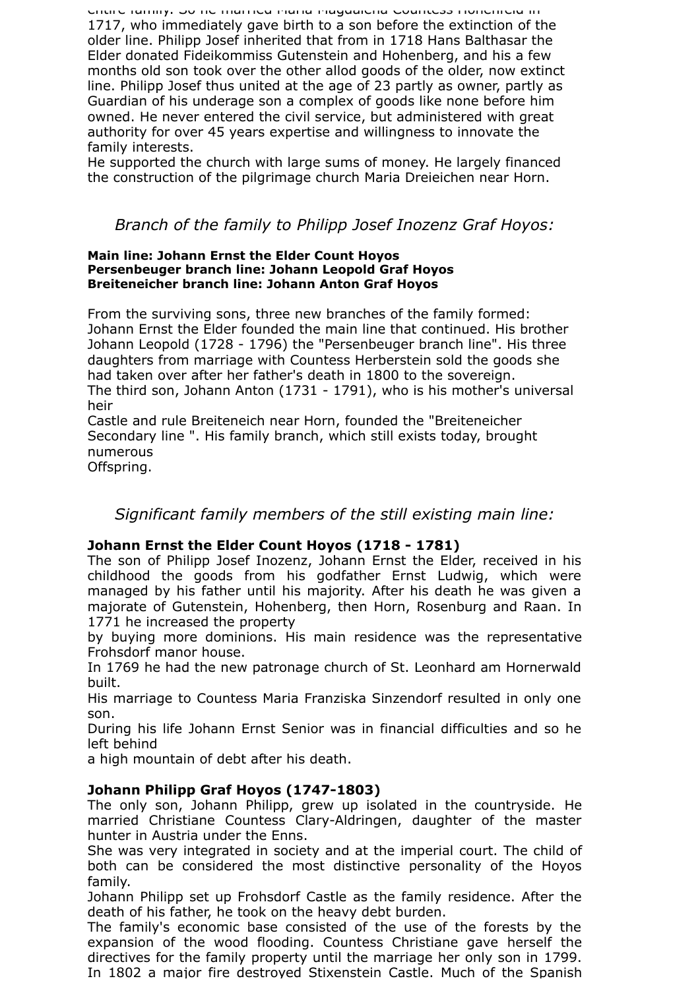entire family. So he married Maria Magdalena Countess Hohenfeld in 1717, who immediately gave birth to a son before the extinction of the older line. Philipp Josef inherited that from in 1718 Hans Balthasar the Elder donated Fideikommiss Gutenstein and Hohenberg, and his a few months old son took over the other allod goods of the older, now extinct line. Philipp Josef thus united at the age of 23 partly as owner, partly as Guardian of his underage son a complex of goods like none before him owned. He never entered the civil service, but administered with great authority for over 45 years expertise and willingness to innovate the family interests.

He supported the church with large sums of money. He largely financed the construction of the pilgrimage church Maria Dreieichen near Horn.

# *Branch of the family to Philipp Josef Inozenz Graf Hoyos:*

#### **Main line: Johann Ernst the Elder Count Hoyos Persenbeuger branch line: Johann Leopold Graf Hoyos Breiteneicher branch line: Johann Anton Graf Hoyos**

From the surviving sons, three new branches of the family formed: Johann Ernst the Elder founded the main line that continued. His brother Johann Leopold (1728 - 1796) the "Persenbeuger branch line". His three daughters from marriage with Countess Herberstein sold the goods she had taken over after her father's death in 1800 to the sovereign. The third son, Johann Anton (1731 - 1791), who is his mother's universal heir

Castle and rule Breiteneich near Horn, founded the "Breiteneicher Secondary line ". His family branch, which still exists today, brought numerous

Offspring.

# *Significant family members of the still existing main line:*

## **Johann Ernst the Elder Count Hoyos (1718 - 1781)**

The son of Philipp Josef Inozenz, Johann Ernst the Elder, received in his childhood the goods from his godfather Ernst Ludwig, which were managed by his father until his majority. After his death he was given a majorate of Gutenstein, Hohenberg, then Horn, Rosenburg and Raan. In 1771 he increased the property

by buying more dominions. His main residence was the representative Frohsdorf manor house.

In 1769 he had the new patronage church of St. Leonhard am Hornerwald built.

His marriage to Countess Maria Franziska Sinzendorf resulted in only one son.

During his life Johann Ernst Senior was in financial difficulties and so he left behind

a high mountain of debt after his death.

## **Johann Philipp Graf Hoyos (1747-1803)**

The only son, Johann Philipp, grew up isolated in the countryside. He married Christiane Countess Clary-Aldringen, daughter of the master hunter in Austria under the Enns.

She was very integrated in society and at the imperial court. The child of both can be considered the most distinctive personality of the Hoyos family.

Johann Philipp set up Frohsdorf Castle as the family residence. After the death of his father, he took on the heavy debt burden.

The family's economic base consisted of the use of the forests by the expansion of the wood flooding. Countess Christiane gave herself the directives for the family property until the marriage her only son in 1799. In 1802 a major fire destroyed Stixenstein Castle. Much of the Spanish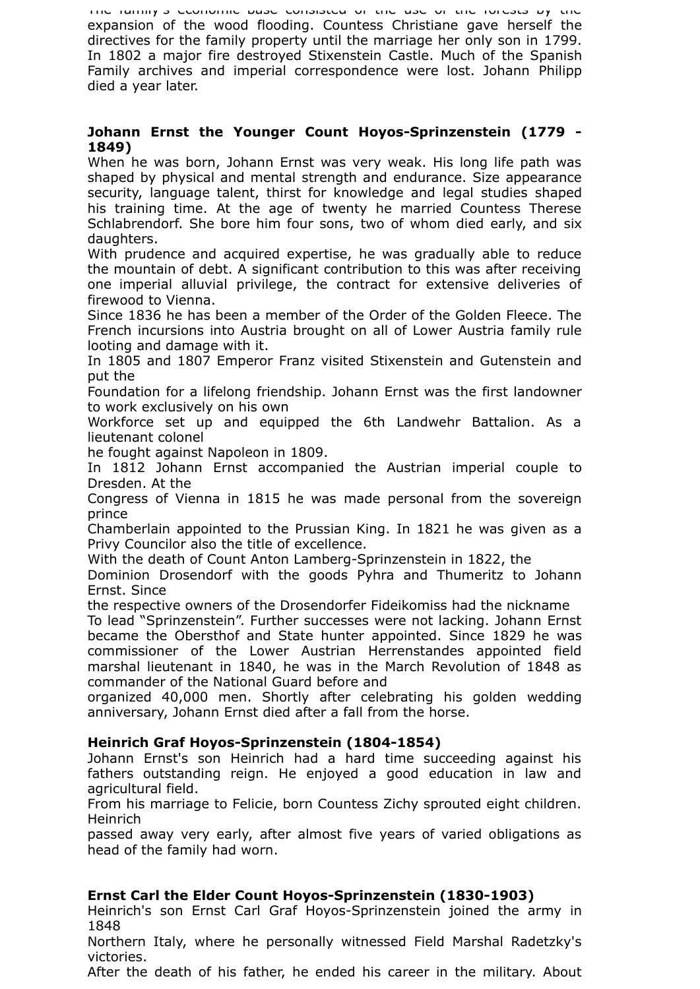The family's economic base consisted of the use of the forests by the expansion of the wood flooding. Countess Christiane gave herself the directives for the family property until the marriage her only son in 1799. In 1802 a major fire destroyed Stixenstein Castle. Much of the Spanish Family archives and imperial correspondence were lost. Johann Philipp died a year later.

## **Johann Ernst the Younger Count Hoyos-Sprinzenstein (1779 - 1849)**

When he was born, Johann Ernst was very weak. His long life path was shaped by physical and mental strength and endurance. Size appearance security, language talent, thirst for knowledge and legal studies shaped his training time. At the age of twenty he married Countess Therese Schlabrendorf. She bore him four sons, two of whom died early, and six daughters.

With prudence and acquired expertise, he was gradually able to reduce the mountain of debt. A significant contribution to this was after receiving one imperial alluvial privilege, the contract for extensive deliveries of firewood to Vienna.

Since 1836 he has been a member of the Order of the Golden Fleece. The French incursions into Austria brought on all of Lower Austria family rule looting and damage with it.

In 1805 and 1807 Emperor Franz visited Stixenstein and Gutenstein and put the

Foundation for a lifelong friendship. Johann Ernst was the first landowner to work exclusively on his own

Workforce set up and equipped the 6th Landwehr Battalion. As a lieutenant colonel

he fought against Napoleon in 1809.

In 1812 Johann Ernst accompanied the Austrian imperial couple to Dresden. At the

Congress of Vienna in 1815 he was made personal from the sovereign prince

Chamberlain appointed to the Prussian King. In 1821 he was given as a Privy Councilor also the title of excellence.

With the death of Count Anton Lamberg-Sprinzenstein in 1822, the

Dominion Drosendorf with the goods Pyhra and Thumeritz to Johann Ernst. Since

the respective owners of the Drosendorfer Fideikomiss had the nickname

To lead "Sprinzenstein". Further successes were not lacking. Johann Ernst became the Obersthof and State hunter appointed. Since 1829 he was commissioner of the Lower Austrian Herrenstandes appointed field marshal lieutenant in 1840, he was in the March Revolution of 1848 as commander of the National Guard before and

organized 40,000 men. Shortly after celebrating his golden wedding anniversary, Johann Ernst died after a fall from the horse.

## **Heinrich Graf Hoyos-Sprinzenstein (1804-1854)**

Johann Ernst's son Heinrich had a hard time succeeding against his fathers outstanding reign. He enjoyed a good education in law and agricultural field.

From his marriage to Felicie, born Countess Zichy sprouted eight children. Heinrich

passed away very early, after almost five years of varied obligations as head of the family had worn.

## **Ernst Carl the Elder Count Hoyos-Sprinzenstein (1830-1903)**

Heinrich's son Ernst Carl Graf Hoyos-Sprinzenstein joined the army in 1848

Northern Italy, where he personally witnessed Field Marshal Radetzky's victories.

After the death of his father, he ended his career in the military. About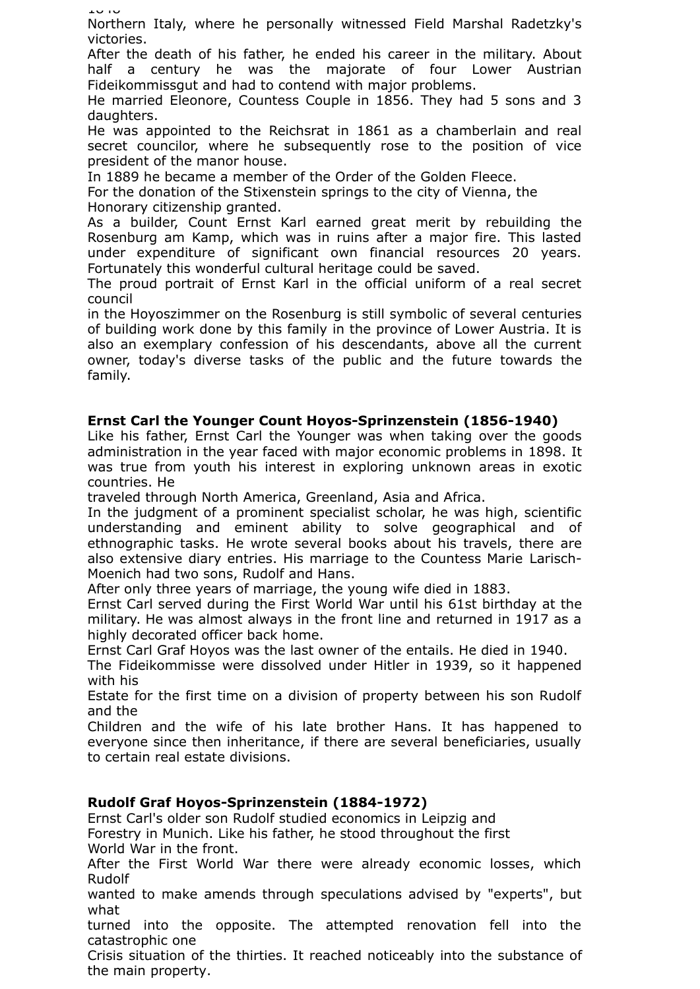1948

Northern Italy, where he personally witnessed Field Marshal Radetzky's victories.

After the death of his father, he ended his career in the military. About half a century he was the majorate of four Lower Austrian Fideikommissgut and had to contend with major problems.

He married Eleonore, Countess Couple in 1856. They had 5 sons and 3 daughters.

He was appointed to the Reichsrat in 1861 as a chamberlain and real secret councilor, where he subsequently rose to the position of vice president of the manor house.

In 1889 he became a member of the Order of the Golden Fleece.

For the donation of the Stixenstein springs to the city of Vienna, the Honorary citizenship granted.

As a builder, Count Ernst Karl earned great merit by rebuilding the Rosenburg am Kamp, which was in ruins after a major fire. This lasted under expenditure of significant own financial resources 20 years. Fortunately this wonderful cultural heritage could be saved.

The proud portrait of Ernst Karl in the official uniform of a real secret council

in the Hoyoszimmer on the Rosenburg is still symbolic of several centuries of building work done by this family in the province of Lower Austria. It is also an exemplary confession of his descendants, above all the current owner, today's diverse tasks of the public and the future towards the family.

### **Ernst Carl the Younger Count Hoyos-Sprinzenstein (1856-1940)**

Like his father, Ernst Carl the Younger was when taking over the goods administration in the year faced with major economic problems in 1898. It was true from youth his interest in exploring unknown areas in exotic countries. He

traveled through North America, Greenland, Asia and Africa.

In the judgment of a prominent specialist scholar, he was high, scientific understanding and eminent ability to solve geographical and of ethnographic tasks. He wrote several books about his travels, there are also extensive diary entries. His marriage to the Countess Marie Larisch-Moenich had two sons, Rudolf and Hans.

After only three years of marriage, the young wife died in 1883.

Ernst Carl served during the First World War until his 61st birthday at the military. He was almost always in the front line and returned in 1917 as a highly decorated officer back home.

Ernst Carl Graf Hoyos was the last owner of the entails. He died in 1940.

The Fideikommisse were dissolved under Hitler in 1939, so it happened with his

Estate for the first time on a division of property between his son Rudolf and the

Children and the wife of his late brother Hans. It has happened to everyone since then inheritance, if there are several beneficiaries, usually to certain real estate divisions.

### **Rudolf Graf Hoyos-Sprinzenstein (1884-1972)**

Ernst Carl's older son Rudolf studied economics in Leipzig and Forestry in Munich. Like his father, he stood throughout the first World War in the front.

After the First World War there were already economic losses, which Rudolf

wanted to make amends through speculations advised by "experts", but what

turned into the opposite. The attempted renovation fell into the catastrophic one

Crisis situation of the thirties. It reached noticeably into the substance of the main property.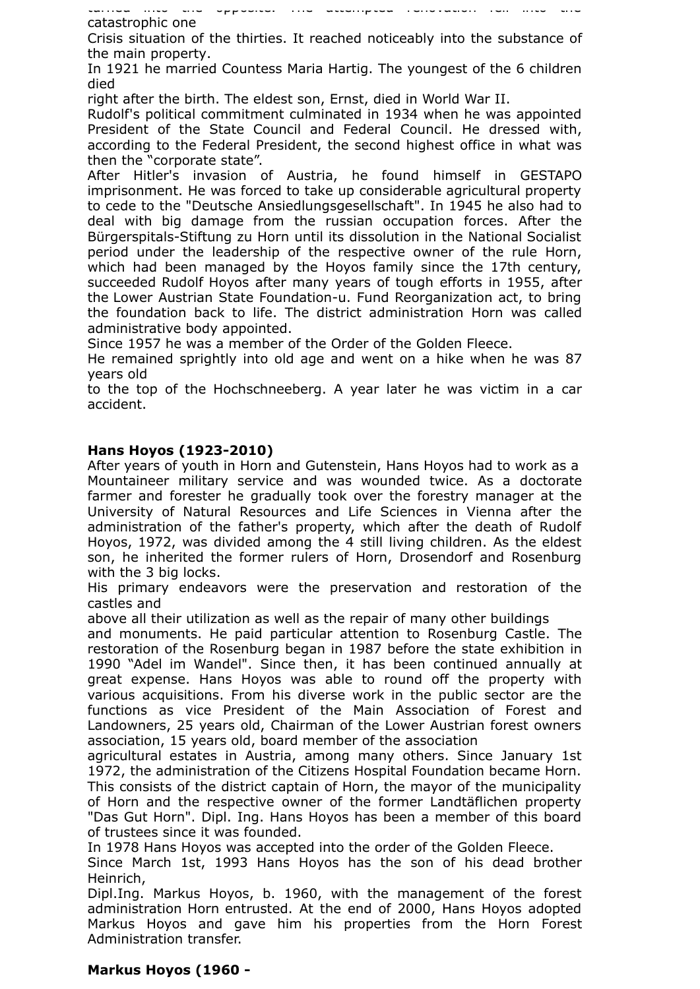turned into the opposite. The attempted renovation fell into the catastrophic one

Crisis situation of the thirties. It reached noticeably into the substance of the main property.

In 1921 he married Countess Maria Hartig. The youngest of the 6 children died

right after the birth. The eldest son, Ernst, died in World War II.

Rudolf's political commitment culminated in 1934 when he was appointed President of the State Council and Federal Council. He dressed with, according to the Federal President, the second highest office in what was then the "corporate state".

After Hitler's invasion of Austria, he found himself in GESTAPO imprisonment. He was forced to take up considerable agricultural property to cede to the "Deutsche Ansiedlungsgesellschaft". In 1945 he also had to deal with big damage from the russian occupation forces. After the Bürgerspitals-Stiftung zu Horn until its dissolution in the National Socialist period under the leadership of the respective owner of the rule Horn, which had been managed by the Hoyos family since the 17th century, succeeded Rudolf Hoyos after many years of tough efforts in 1955, after the Lower Austrian State Foundation-u. Fund Reorganization act, to bring the foundation back to life. The district administration Horn was called administrative body appointed.

Since 1957 he was a member of the Order of the Golden Fleece.

He remained sprightly into old age and went on a hike when he was 87 years old

to the top of the Hochschneeberg. A year later he was victim in a car accident.

### **Hans Hoyos (1923-2010)**

After years of youth in Horn and Gutenstein, Hans Hoyos had to work as a Mountaineer military service and was wounded twice. As a doctorate farmer and forester he gradually took over the forestry manager at the University of Natural Resources and Life Sciences in Vienna after the administration of the father's property, which after the death of Rudolf Hoyos, 1972, was divided among the 4 still living children. As the eldest son, he inherited the former rulers of Horn, Drosendorf and Rosenburg with the 3 big locks.

His primary endeavors were the preservation and restoration of the castles and

above all their utilization as well as the repair of many other buildings

and monuments. He paid particular attention to Rosenburg Castle. The restoration of the Rosenburg began in 1987 before the state exhibition in 1990 "Adel im Wandel". Since then, it has been continued annually at great expense. Hans Hoyos was able to round off the property with various acquisitions. From his diverse work in the public sector are the functions as vice President of the Main Association of Forest and Landowners, 25 years old, Chairman of the Lower Austrian forest owners association, 15 years old, board member of the association

agricultural estates in Austria, among many others. Since January 1st 1972, the administration of the Citizens Hospital Foundation became Horn. This consists of the district captain of Horn, the mayor of the municipality of Horn and the respective owner of the former Landtäflichen property "Das Gut Horn". Dipl. Ing. Hans Hoyos has been a member of this board of trustees since it was founded.

In 1978 Hans Hoyos was accepted into the order of the Golden Fleece.

Since March 1st, 1993 Hans Hoyos has the son of his dead brother Heinrich,

Dipl.Ing. Markus Hoyos, b. 1960, with the management of the forest administration Horn entrusted. At the end of 2000, Hans Hoyos adopted Markus Hoyos and gave him his properties from the Horn Forest Administration transfer.

### **Markus Hoyos (1960 -**